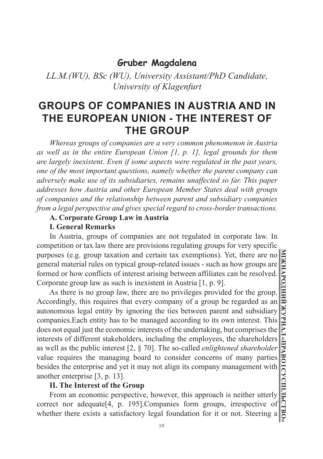# **Gruber Magdalena**

*LL.M.(WU), BSc (WU), University Assistant/PhD Candidate, University of Klagenfurt*

# **GROUPS OF COMPANIES IN AUSTRIA AND IN THE EUROPEAN UNION - THE INTEREST OF THE GROUP**

*Whereas groups of companies are a very common phenomenon in Austria as well as in the entire European Union [1, p. 1], legal grounds for them are largely inexistent. Even if some aspects were regulated in the past years, one of the most important questions, namely whether the parent company can adversely make use of its subsidiaries, remains unaffected so far. This paper addresses how Austria and other European Member States deal with groups of companies and the relationship between parent and subsidiary companies from a legal perspective and gives special regard to cross-border transactions.* 

## **A. Corporate Group Law in Austria**

#### **I. General Remarks**

In Austria, groups of companies are not regulated in corporate law. In competition or tax law there are provisions regulating groups for very specific purposes (e.g. group taxation and certain tax exemptions). Yet, there are no general material rules on typical group-related issues - such as how groups are formed or how conflicts of interest arising between affiliates can be resolved. Corporate group law as such is inexistent in Austria [1, p. 9].

As there is no group law, there are no privileges provided for the group. Accordingly, this requires that every company of a group be regarded as an autonomous legal entity by ignoring the ties between parent and subsidiary companies.Each entity has to be managed according to its own interest. This does not equal just the economic interests of the undertaking, but comprises the interests of different stakeholders, including the employees, the shareholders as well as the public interest [2, § 70]. The so-called *enlightened shareholder* value requires the managing board to consider concerns of many parties besides the enterprise and yet it may not align its company management with another enterprise [3, p. 13].

## **II. The Interest of the Group**

From an economic perspective, however, this approach is neither utterly correct nor adequate[4, p. 195].Companies form groups, irrespective of whether there exists a satisfactory legal foundation for it or not. Steering a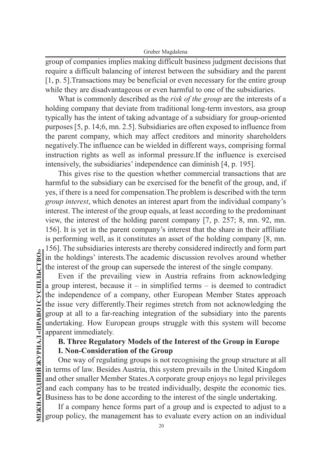group of companies implies making difficult business judgment decisions that require a difficult balancing of interest between the subsidiary and the parent [1, p. 5].Transactions may be beneficial or even necessary for the entire group while they are disadvantageous or even harmful to one of the subsidiaries.

What is commonly described as the *risk of the group* are the interests of a holding company that deviate from traditional long-term investors, asa group typically has the intent of taking advantage of a subsidiary for group-oriented purposes [5, p. 14;6, mn. 2.5]. Subsidiaries are often exposed to influence from the parent company, which may affect creditors and minority shareholders negatively.The influence can be wielded in different ways, comprising formal instruction rights as well as informal pressure.If the influence is exercised intensively, the subsidiaries' independence can diminish [4, p. 195].

This gives rise to the question whether commercial transactions that are harmful to the subsidiary can be exercised for the benefit of the group, and, if yes, if there is a need for compensation.The problem is described with the term *group interest*, which denotes an interest apart from the individual company's interest. The interest of the group equals, at least according to the predominant view, the interest of the holding parent company [7, p. 257; 8, mn. 92, mn. 156]. It is yet in the parent company's interest that the share in their affiliate is performing well, as it constitutes an asset of the holding company [8, mn. 156]. The subsidiaries interests are thereby considered indirectly and form part in the holdings' interests.The academic discussion revolves around whether the interest of the group can supersede the interest of the single company.

Even if the prevailing view in Austria refrains from acknowledging a group interest, because it – in simplified terms – is deemed to contradict the independence of a company, other European Member States approach the issue very differently.Their regimes stretch from not acknowledging the group at all to a far-reaching integration of the subsidiary into the parents undertaking. How European groups struggle with this system will become apparent immediately.

# **B. Three Regulatory Models of the Interest of the Group in Europe I. Non-Consideration of the Group**

One way of regulating groups is not recognising the group structure at all in terms of law. Besides Austria, this system prevails in the United Kingdom and other smaller Member States.A corporate group enjoys no legal privileges and each company has to be treated individually, despite the economic ties. Business has to be done according to the interest of the single undertaking.

If a company hence forms part of a group and is expected to adjust to a group policy, the management has to evaluate every action on an individual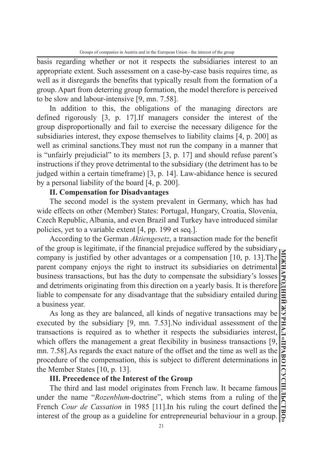basis regarding whether or not it respects the subsidiaries interest to an appropriate extent. Such assessment on a case-by-case basis requires time, as well as it disregards the benefits that typically result from the formation of a group. Apart from deterring group formation, the model therefore is perceived to be slow and labour-intensive [9, mn. 7.58].

In addition to this, the obligations of the managing directors are defined rigorously [3, p. 17].If managers consider the interest of the group disproportionally and fail to exercise the necessary diligence for the subsidiaries interest, they expose themselves to liability claims [4, p. 200] as well as criminal sanctions.They must not run the company in a manner that is "unfairly prejudicial" to its members [3, p. 17] and should refuse parent's instructions if they prove detrimental to the subsidiary (the detriment has to be judged within a certain timeframe) [3, p. 14]. Law-abidance hence is secured by a personal liability of the board [4, p. 200].

## **II. Compensation for Disadvantages**

The second model is the system prevalent in Germany, which has had wide effects on other (Member) States: Portugal, Hungary, Croatia, Slovenia, Czech Republic, Albania, and even Brazil and Turkey have introduced similar policies, yet to a variable extent [4, pp. 199 et seq.].

According to the German *Aktiengesetz*, a transaction made for the benefit of the group is legitimate, if the financial prejudice suffered by the subsidiary company is justified by other advantages or a compensation [10, p. 13].The parent company enjoys the right to instruct its subsidiaries on detrimental business transactions, but has the duty to compensate the subsidiary's losses and detriments originating from this direction on a yearly basis. It is therefore liable to compensate for any disadvantage that the subsidiary entailed during a business year.

As long as they are balanced, all kinds of negative transactions may be executed by the subsidiary [9, mn. 7.53].No individual assessment of the transactions is required as to whether it respects the subsidiaries interest, which offers the management a great flexibility in business transactions [9, mn. 7.58].As regards the exact nature of the offset and the time as well as the procedure of the compensation, this is subject to different determinations in the Member States [10, p. 13].

## **III. Precedence of the Interest of the Group**

The third and last model originates from French law. It became famous under the name "*Rozenblum*-doctrine", which stems from a ruling of the French *Cour de Cassation* in 1985 [11].In his ruling the court defined the interest of the group as a guideline for entrepreneurial behaviour in a group.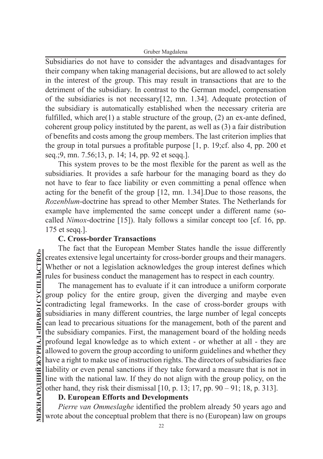Gruber Magdalena

Subsidiaries do not have to consider the advantages and disadvantages for their company when taking managerial decisions, but are allowed to act solely in the interest of the group. This may result in transactions that are to the detriment of the subsidiary. In contrast to the German model, compensation of the subsidiaries is not necessary[12, mn. 1.34]. Adequate protection of the subsidiary is automatically established when the necessary criteria are fulfilled, which are(1) a stable structure of the group, (2) an ex-ante defined, coherent group policy instituted by the parent, as well as (3) a fair distribution of benefits and costs among the group members. The last criterion implies that the group in total pursues a profitable purpose [1, p. 19;cf. also 4, pp. 200 et seq.;9, mn. 7.56;13, p. 14; 14, pp. 92 et seqq.].

This system proves to be the most flexible for the parent as well as the subsidiaries. It provides a safe harbour for the managing board as they do not have to fear to face liability or even committing a penal offence when acting for the benefit of the group [12, mn. 1.34].Due to those reasons, the *Rozenblum*-doctrine has spread to other Member States. The Netherlands for example have implemented the same concept under a different name (socalled *Nimox*-doctrine [15]). Italy follows a similar concept too [cf. 16, pp. 175 et seqq.].

## **C. Cross-border Transactions**

The fact that the European Member States handle the issue differently creates extensive legal uncertainty for cross-border groups and their managers. Whether or not a legislation acknowledges the group interest defines which rules for business conduct the management has to respect in each country.

The management has to evaluate if it can introduce a uniform corporate group policy for the entire group, given the diverging and maybe even contradicting legal frameworks. In the case of cross-border groups with subsidiaries in many different countries, the large number of legal concepts can lead to precarious situations for the management, both of the parent and the subsidiary companies. First, the management board of the holding needs profound legal knowledge as to which extent - or whether at all - they are allowed to govern the group according to uniform guidelines and whether they have a right to make use of instruction rights. The directors of subsidiaries face liability or even penal sanctions if they take forward a measure that is not in line with the national law. If they do not align with the group policy, on the other hand, they risk their dismissal [10, p. 13; 17, pp. 90 – 91; 18, p. 313].

# **D. European Efforts and Developments**

*Pierre van Ommeslaghe* identified the problem already 50 years ago and wrote about the conceptual problem that there is no (European) law on groups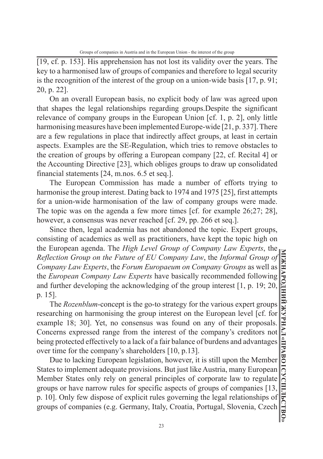[19, cf. p. 153]. His apprehension has not lost its validity over the years. The key to a harmonised law of groups of companies and therefore to legal security is the recognition of the interest of the group on a union-wide basis [17, p. 91; 20, p. 22].

On an overall European basis, no explicit body of law was agreed upon that shapes the legal relationships regarding groups.Despite the significant relevance of company groups in the European Union [cf. 1, p. 2], only little harmonising measures have been implemented Europe-wide [21, p. 337]. There are a few regulations in place that indirectly affect groups, at least in certain aspects. Examples are the SE-Regulation, which tries to remove obstacles to the creation of groups by offering a European company [22, cf. Recital 4] or the Accounting Directive [23], which obliges groups to draw up consolidated financial statements [24, m.nos. 6.5 et seq.].

The European Commission has made a number of efforts trying to harmonise the group interest. Dating back to 1974 and 1975 [25], first attempts for a union-wide harmonisation of the law of company groups were made. The topic was on the agenda a few more times [cf. for example 26;27; 28], however, a consensus was never reached [cf. 29, pp. 266 et seq.].

Since then, legal academia has not abandoned the topic. Expert groups, consisting of academics as well as practitioners, have kept the topic high on the European agenda. The *High Level Group of Company Law Experts*, the *Reflection Group on the Future of EU Company Law*, the *Informal Group of Company Law Experts*, the *Forum Europaeum on Company Groups* as well as the *European Company Law Experts* have basically recommended following and further developing the acknowledging of the group interest [1, p. 19; 20, p. 15].

The *Rozenblum*-concept is the go-to strategy for the various expert groups researching on harmonising the group interest on the European level [cf. for example 18; 30]. Yet, no consensus was found on any of their proposals. Concerns expressed range from the interest of the company's creditors not being protected effectively to a lack of a fair balance of burdens and advantages over time for the company's shareholders [10, p.13].

Due to lacking European legislation, however, it is still upon the Member States to implement adequate provisions. But just like Austria, many European Member States only rely on general principles of corporate law to regulate groups or have narrow rules for specific aspects of groups of companies [13, p. 10]. Only few dispose of explicit rules governing the legal relationships of groups of companies (e.g. Germany, Italy, Croatia, Portugal, Slovenia, Czech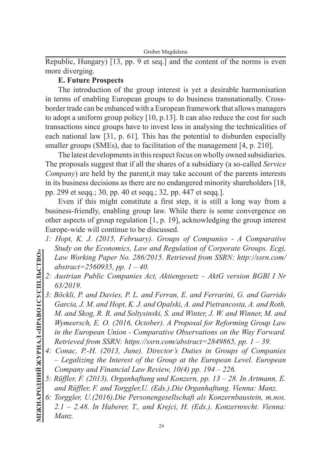Republic, Hungary) [13, pp. 9 et seq.] and the content of the norms is even more diverging.

# **E. Future Prospects**

The introduction of the group interest is yet a desirable harmonisation in terms of enabling European groups to do business transnationally. Crossborder trade can be enhanced with a European framework that allows managers to adopt a uniform group policy [10, p.13]. It can also reduce the cost for such transactions since groups have to invest less in analysing the technicalities of each national law [31, p. 61]. This has the potential to disburden especially smaller groups (SMEs), due to facilitation of the management [4, p. 210].

The latest developments in this respect focus on wholly owned subsidiaries. The proposals suggest that if all the shares of a subsidiary (a so-called *Service Company*) are held by the parent,it may take account of the parents interests in its business decisions as there are no endangered minority shareholders [18, pp. 299 et seqq.; 30, pp. 40 et seqq.; 32, pp. 447 et seqq.].

Even if this might constitute a first step, it is still a long way from a business-friendly, enabling group law. While there is some convergence on other aspects of group regulation [1, p. 19], acknowledging the group interest Europe-wide will continue to be discussed.

- *1: Hopt, K. J. (2015, February). Groups of Companies A Comparative Study on the Economics, Law and Regulation of Corporate Groups. Ecgi, Law Working Paper No. 286/2015. Retrieved from SSRN: http://ssrn.com/ abstract=2560935, pp. 1 – 40.*
- *2: Austrian Public Companies Act, Aktiengesetz AktG version BGBl I Nr 63/2019.*
- *3: Böckli, P. and Davies, P. L. and Ferran, E. and Ferrarini, G. and Garrido Garcia, J. M. and Hopt, K. J. and Opalski, A. and Pietrancosta, A. and Roth, M. and Skog, R. R. and Soltysinski, S. and Winter, J. W. and Winner, M. and Wymeersch, E. O. (2016, October). A Proposal for Reforming Group Law in the European Union - Comparative Observations on the Way Forward. Retrieved from SSRN: https://ssrn.com/abstract=2849865, pp. 1 – 39.*
- *4: Conac, P.-H. (2013, June). Director's Duties in Groups of Companies – Legalizing the Interest of the Group at the European Level. European Company and Financial Law Review, 10(4) pp. 194 – 226.*
- *5: Rüffler, F. (2013). Organhaftung und Konzern, pp. 13 28. In Artmann, E. and Rüffler, F. and Torggler,U. (Eds.).Die Organhaftung. Vienna: Manz.*
- *6: Torggler, U.(2016).Die Personengesellschaft als Konzernbaustein, m.nos. 2.1 – 2.48. In Haberer, T., and Krejci, H. (Eds.). Konzernrecht. Vienna: Manz.*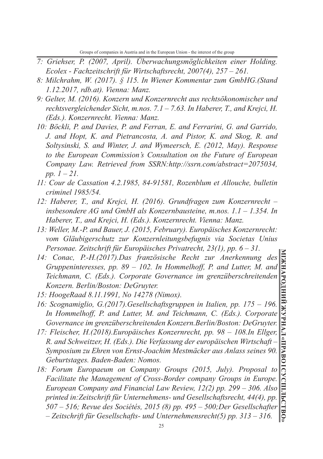- *7: Griehser, P. (2007, April). Überwachungsmöglichkeiten einer Holding. Ecolex - Fachzeitschrift für Wirtschaftsrecht, 2007(4), 257 – 261.*
- *8: Milchrahm, W. (2017). § 115. In Wiener Kommentar zum GmbHG.(Stand 1.12.2017, rdb.at). Vienna: Manz.*
- *9: Gelter, M. (2016). Konzern und Konzernrecht aus rechtsökonomischer und rechtsvergleichender Sicht, m.nos. 7.1 – 7.63. In Haberer, T., and Krejci, H. (Eds.). Konzernrecht. Vienna: Manz.*
- *10: Böckli, P. and Davies, P. and Ferran, E. and Ferrarini, G. and Garrido, J. and Hopt, K. and Pietrancosta, A. and Pistor, K. and Skog, R. and Soltysinski, S. and Winter, J. and Wymeersch, E. (2012, May). Response to the European Commission's Consultation on the Future of European Company Law. Retrieved from SSRN:http://ssrn.com/abstract=2075034, pp. 1 – 21.*
- *11: Cour de Cassation 4.2.1985, 84-91581, Rozenblum et Allouche, bulletin criminel 1985/54.*
- *12: Haberer, T., and Krejci, H. (2016). Grundfragen zum Konzernrecht insbesondere AG und GmbH als Konzernbausteine, m.nos. 1.1 – 1.354. In Haberer, T., and Krejci, H. (Eds.). Konzernrecht. Vienna: Manz.*
- *13: Weller, M.-P. and Bauer, J. (2015, February). Europäisches Konzernrecht: vom Gläubigerschutz zur Konzernleitungsbefugnis via Societas Unius Personae. Zeitschrift für Europäisches Privatrecht, 23(1), pp. 6 – 31.*
- *14: Conac, P.-H.(2017).Das französische Recht zur Anerkennung des Gruppeninteresses, pp. 89 – 102. In Hommelhoff, P. and Lutter, M. and Teichmann, C. (Eds.). Corporate Governance im grenzüberschreitenden Konzern. Berlin/Boston: DeGruyter.*
- *15: HoogeRaad 8.11.1991, No 14278 (Nimox).*
- *16: Scognamiglio, G.(2017).Gesellschaftsgruppen in Italien, pp. 175 196. In Hommelhoff, P. and Lutter, M. and Teichmann, C. (Eds.). Corporate Governance im grenzüberschreitenden Konzern.Berlin/Boston: DeGruyter.*
- *17: Fleischer, H.(2018).Europäisches Konzernrecht, pp. 98 108.In Ellger, R. and Schweitzer, H. (Eds.). Die Verfassung der europäischen Wirtschaft – Symposium zu Ehren von Ernst-Joachim Mestmäcker aus Anlass seines 90. Geburtstages. Baden-Baden: Nomos.*
- *18: Forum Europaeum on Company Groups (2015, July). Proposal to Facilitate the Management of Cross-Border company Groups in Europe. European Company and Financial Law Review, 12(2) pp. 299 – 306. Also printed in:Zeitschrift für Unternehmens- und Gesellschaftsrecht, 44(4), pp. 507 – 516; Revue des Sociétés, 2015 (8) pp. 495 – 500;Der Gesellschafter – Zeitschrift für Gesellschafts- und Unternehmensrecht(5) pp. 313 – 316.*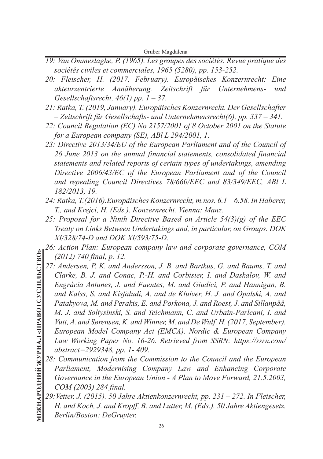Gruber Magdalena

- *19: Van Ommeslaghe, P. (1965). Les groupes des sociétés. Revue pratique des sociétés civiles et commerciales, 1965 (5280), pp. 153-252.*
- *20: Fleischer, H. (2017, February). Europäisches Konzernrecht: Eine akteurzentrierte Annäherung. Zeitschrift für Unternehmens- und Gesellschaftsrecht, 46(1) pp. 1 – 37.*
- *21: Ratka, T. (2019, January). Europäisches Konzernrecht. Der Gesellschafter – Zeitschrift für Gesellschafts- und Unternehmensrecht(6), pp. 337 – 341.*
- *22: Council Regulation (EC) No 2157/2001 of 8 October 2001 on the Statute for a European company (SE), ABl L 294/2001, 1.*
- *23: Directive 2013/34/EU of the European Parliament and of the Council of 26 June 2013 on the annual financial statements, consolidated financial statements and related reports of certain types of undertakings, amending Directive 2006/43/EC of the European Parliament and of the Council and repealing Council Directives 78/660/EEC and 83/349/EEC, ABl L 182/2013, 19.*
- *24: Ratka, T.(2016).Europäisches Konzernrecht, m.nos. 6.1 6.58. In Haberer, T., and Krejci, H. (Eds.). Konzernrecht. Vienna: Manz.*
- *25: Proposal for a Ninth Directive Based on Article 54(3)(g) of the EEC Treaty on Links Between Undertakings and, in particular, on Groups. DOK XI/328/74-D and DOK XI/593/75-D.*
- *26: Action Plan: European company law and corporate governance, COM (2012) 740 final, p. 12.*
- *27: Andersen, P. K. and Andersson, J. B. and Bartkus, G. and Baums, T. and Clarke, B. J. and Conac, P.-H. and Corbisier, I. and Daskalov, W. and Engrácia Antunes, J. and Fuentes, M. and Giudici, P. and Hannigan, B. and Kalss, S. and Kisfaludi, A. and de Kluiver, H. J. and Opalski, A. and Patakyova, M. and Perakis, E. and Porkona, J. and Roest, J. and Sillanpää, M. J. and Soltysinski, S. and Teichmann, C. and Urbain-Parleani, I. and Vutt, A. and Sørensen, K. and Winner, M. and De Wulf, H. (2017, September). European Model Company Act (EMCA). Nordic & European Company Law Working Paper No. 16-26. Retrieved from SSRN: https://ssrn.com/ abstract=2929348, pp. 1- 409.*
- *28: Communication from the Commission to the Council and the European Parliament, Modernising Company Law and Enhancing Corporate Governance in the European Union - A Plan to Move Forward, 21.5.2003, COM (2003) 284 final.*
- *29:Vetter, J. (2015). 50 Jahre Aktienkonzernrecht, pp. 231 272. In Fleischer, H. and Koch, J. and Kropff, B. and Lutter, M. (Eds.). 50 Jahre Aktiengesetz. Berlin/Boston: DeGruyter.*

**МІЖНАРОДНИЙ ЖУРНАЛ «ПРАВО І СУСПІЛЬСТВО»** <u>МІЖНАРОДНИЙ ЖУРНАЛ «ПРАВО І СУСПІЛЬСТВО»</u>